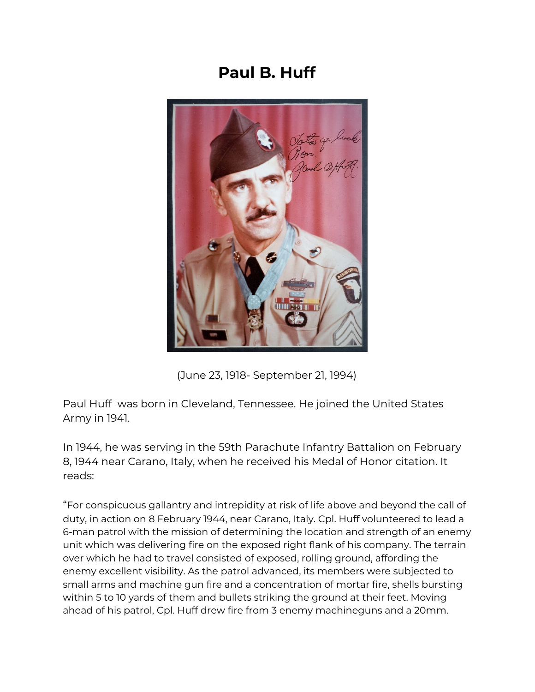## **Paul B. Huff**



(June 23, 1918- September 21, 1994)

Paul Huff was born in Cleveland, Tennessee. He joined the United States Army in 1941.

In 1944, he was serving in the 59th Parachute Infantry Battalion on February 8, 1944 near Carano, Italy, when he received his Medal of Honor citation. It reads:

"For conspicuous gallantry and intrepidity at risk of life above and beyond the call of duty, in action on 8 February 1944, near Carano, Italy. Cpl. Huff volunteered to lead a 6-man patrol with the mission of determining the location and strength of an enemy unit which was delivering fire on the exposed right flank of his company. The terrain over which he had to travel consisted of exposed, rolling ground, affording the enemy excellent visibility. As the patrol advanced, its members were subjected to small arms and [machine](https://en.wikipedia.org/wiki/Machinegun) gun fire and a concentration of [mortar](https://en.wikipedia.org/wiki/Mortar_(weapon)) fire, shells bursting within 5 to 10 yards of them and bullets striking the ground at their feet. Moving ahead of his patrol, Cpl. Huff drew fire from 3 enemy machineguns and a [20mm](https://en.wikipedia.org/wiki/20_mm_caliber).